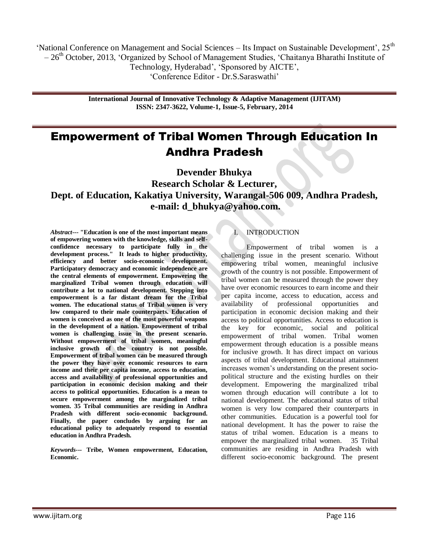"National Conference on Management and Social Sciences – Its Impact on Sustainable Development",  $25<sup>th</sup>$  $-26<sup>th</sup>$  October, 2013, 'Organized by School of Management Studies, 'Chaitanya Bharathi Institute of Technology, Hyderabad", "Sponsored by AICTE", "Conference Editor - Dr.S.Saraswathi"

> **International Journal of Innovative Technology & Adaptive Management (IJITAM) ISSN: 2347-3622, Volume-1, Issue-5, February, 2014**

# Empowerment of Tribal Women Through Education In Andhra Pradesh

**Devender Bhukya Research Scholar & Lecturer, Dept. of Education, Kakatiya University, Warangal-506 009, Andhra Pradesh, e-mail: d\_bhukya@yahoo.com.**

*Abstract---* **"Education is one of the most important means of empowering women with the knowledge, skills and selfconfidence necessary to participate fully in the development process." It leads to higher productivity, efficiency and better socio-economic development. Participatory democracy and economic independence are the central elements of empowerment. Empowering the marginalized Tribal women through education will contribute a lot to national development. Stepping into empowerment is a far distant dream for the Tribal women. The educational status of Tribal women is very low compared to their male counterparts. Education of women is conceived as one of the most powerful weapons in the development of a nation. Empowerment of tribal women is challenging issue in the present scenario. Without empowerment of tribal women, meaningful inclusive growth of the country is not possible. Empowerment of tribal women can be measured through the power they have over economic resources to earn income and their per capita income, access to education, access and availability of professional opportunities and participation in economic decision making and their access to political opportunities. Education is a mean to secure empowerment among the marginalized tribal women. 35 Tribal communities are residing in Andhra Pradesh with different socio-economic background. Finally, the paper concludes by arguing for an educational policy to adequately respond to essential education in Andhra Pradesh.**

*Keywords---* **Tribe, Women empowerment, Education, Economic.**

# **INTRODUCTION**

Empowerment of tribal women is a challenging issue in the present scenario. Without empowering tribal women, meaningful inclusive growth of the country is not possible. Empowerment of tribal women can be measured through the power they have over economic resources to earn income and their per capita income, access to education, access and availability of professional opportunities and participation in economic decision making and their access to political opportunities. Access to education is the key for economic, social and political empowerment of tribal women. Tribal women empowerment through education is a possible means for inclusive growth. It has direct impact on various aspects of tribal development. Educational attainment increases women"s understanding on the present sociopolitical structure and the existing hurdles on their development. Empowering the marginalized tribal women through education will contribute a lot to national development. The educational status of tribal women is very low compared their counterparts in other communities. Education is a powerful tool for national development. It has the power to raise the status of tribal women. Education is a means to empower the marginalized tribal women. 35 Tribal communities are residing in Andhra Pradesh with different socio-economic background. The present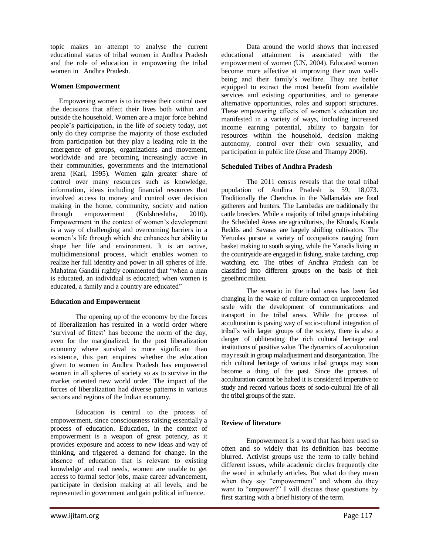topic makes an attempt to analyse the current educational status of tribal women in Andhra Pradesh and the role of education in empowering the tribal women in Andhra Pradesh.

## **Women Empowerment**

 Empowering women is to increase their control over the decisions that affect their lives both within and outside the household. Women are a major force behind people"s participation, in the life of society today, not only do they comprise the majority of those excluded from participation but they play a leading role in the emergence of groups, organizations and movement, worldwide and are becoming increasingly active in their communities, governments and the international arena (Karl, 1995). Women gain greater share of control over many resources such as knowledge, information, ideas including financial resources that involved access to money and control over decision making in the home, community, society and nation through empowerment (Kulshreshtha, 2010). Empowerment in the context of women"s development is a way of challenging and overcoming barriers in a women"s life through which she enhances her ability to shape her life and environment. It is an active, multidimensional process, which enables women to realize her full identity and power in all spheres of life. Mahatma Gandhi rightly commented that "when a man is educated, an individual is educated; when women is educated, a family and a country are educated"

# **Education and Empowerment**

The opening up of the economy by the forces of liberalization has resulted in a world order where "survival of fittest" has become the norm of the day, even for the marginalized. In the post liberalization economy where survival is more significant than existence, this part enquires whether the education given to women in Andhra Pradesh has empowered women in all spheres of society so as to survive in the market oriented new world order. The impact of the forces of liberalization had diverse patterns in various sectors and regions of the Indian economy.

Education is central to the process of empowerment, since consciousness raising essentially a process of education. Education, in the context of empowerment is a weapon of great potency, as it provides exposure and access to new ideas and way of thinking, and triggered a demand for change. In the absence of education that is relevant to existing knowledge and real needs, women are unable to get access to formal sector jobs, make career advancement, participate in decision making at all levels, and be represented in government and gain political influence.

educational attainment is associated with the empowerment of women (UN, 2004). Educated women become more affective at improving their own wellbeing and their family"s welfare. They are better equipped to extract the most benefit from available services and existing opportunities, and to generate alternative opportunities, roles and support structures. These empowering effects of women's education are manifested in a variety of ways, including increased income earning potential, ability to bargain for resources within the household, decision making autonomy, control over their own sexuality, and participation in public life (Jose and Thampy 2006).

Data around the world shows that increased

# **Scheduled Tribes of Andhra Pradesh**

The 2011 census reveals that the total tribal population of Andhra Pradesh is 59, 18,073. Traditionally the Chenchus in the Nallamalais are food gatherers and hunters. The Lambadas are traditionally the cattle breeders. While a majority of tribal groups inhabiting the Scheduled Areas are agriculturists, the Khonds, Konda Reddis and Savaras are largely shifting cultivators. The Yeruulas pursue a variety of occupations ranging from basket making to sooth saying, while the Yanadis living in the countryside are engaged in fishing, snake catching, crop watching etc. The tribes of Andhra Pradesh can be classified into different groups on the basis of their geoethnic milieu.

The scenario in the tribal areas has been fast changing in the wake of culture contact on unprecedented scale with the development of communications and transport in the tribal areas. While the process of acculturation is paving way of socio-cultural integration of tribal"s with larger groups of the society, there is also a danger of obliterating the rich cultural heritage and institutions of positive value. The dynamics of acculturation may result in group maladjustment and disorganization. The rich cultural heritage of various tribal groups may soon become a thing of the past. Since the process of acculturation cannot be halted it is considered imperative to study and record various facets of socio-cultural life of all the tribal groups of the state.

# **Review of literature**

Empowerment is a word that has been used so often and so widely that its definition has become blurred. Activist groups use the term to rally behind different issues, while academic circles frequently cite the word in scholarly articles. But what do they mean when they say "empowerment" and whom do they want to "empower?" I will discuss these questions by first starting with a brief history of the term.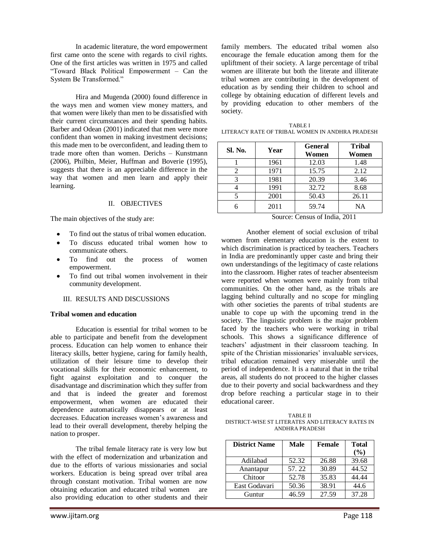In academic literature, the word empowerment first came onto the scene with regards to civil rights. One of the first articles was written in 1975 and called "Toward Black Political Empowerment – Can the System Be Transformed."

Hira and Mugenda (2000) found difference in the ways men and women view money matters, and that women were likely than men to be dissatisfied with their current circumstances and their spending habits. Barber and Odean (2001) indicated that men were more confident than women in making investment decisions; this made men to be overconfident, and leading them to trade more often than women. Derichs – Kunstmann (2006), Philbin, Meier, Huffman and Boverie (1995), suggests that there is an appreciable difference in the way that women and men learn and apply their learning.

#### II. OBJECTIVES

The main objectives of the study are:

- To find out the status of tribal women education.
- To discuss educated tribal women how to communicate others.
- To find out the process of women empowerment.
- To find out tribal women involvement in their community development.

### III. RESULTS AND DISCUSSIONS

#### **Tribal women and education**

Education is essential for tribal women to be able to participate and benefit from the development process. Education can help women to enhance their literacy skills, better hygiene, caring for family health, utilization of their leisure time to develop their vocational skills for their economic enhancement, to fight against exploitation and to conquer the disadvantage and discrimination which they suffer from and that is indeed the greater and foremost empowerment, when women are educated their dependence automatically disappears or at least decreases. Education increases women"s awareness and lead to their overall development, thereby helping the nation to prosper.

The tribal female literacy rate is very low but with the effect of modernization and urbanization and due to the efforts of various missionaries and social workers. Education is being spread over tribal area through constant motivation. Tribal women are now obtaining education and educated tribal women are also providing education to other students and their

family members. The educated tribal women also encourage the female education among them for the upliftment of their society. A large percentage of tribal women are illiterate but both the literate and illiterate tribal women are contributing in the development of education as by sending their children to school and college by obtaining education of different levels and by providing education to other members of the society.

| <b>TABLE I</b>                                  |
|-------------------------------------------------|
| LITERACY RATE OF TRIBAL WOMEN IN ANDHRA PRADESH |

| <b>Sl. No.</b> | Year | <b>General</b><br>Women | <b>Tribal</b><br>Women |
|----------------|------|-------------------------|------------------------|
|                | 1961 | 12.03                   | 1.48                   |
| 2              | 1971 | 15.75                   | 2.12                   |
|                | 1981 | 20.39                   | 3.46                   |
|                | 1991 | 32.72                   | 8.68                   |
|                | 2001 | 50.43                   | 26.11                  |
|                | 2011 | 59.74                   | <b>NA</b>              |

Source: Census of India, 2011

Another element of social exclusion of tribal women from elementary education is the extent to which discrimination is practiced by teachers. Teachers in India are predominantly upper caste and bring their own understandings of the legitimacy of caste relations into the classroom. Higher rates of teacher absenteeism were reported when women were mainly from tribal communities. On the other hand, as the tribals are lagging behind culturally and no scope for mingling with other societies the parents of tribal students are unable to cope up with the upcoming trend in the society. The linguistic problem is the major problem faced by the teachers who were working in tribal schools. This shows a significance difference of teachers" adjustment in their classroom teaching. In spite of the Christian missionaries' invaluable services, tribal education remained very miserable until the period of independence. It is a natural that in the tribal areas, all students do not proceed to the higher classes due to their poverty and social backwardness and they drop before reaching a particular stage in to their educational career.

TABLE II DISTRICT-WISE ST LITERATES AND LITERACY RATES IN ANDHRA PRADESH

| <b>District Name</b> | <b>Male</b> | Female | <b>Total</b> |
|----------------------|-------------|--------|--------------|
|                      |             |        | $($ %)       |
| Adilabad             | 52.32       | 26.88  | 39.68        |
| Anantapur            | 57.22       | 30.89  | 44.52        |
| Chitoor              | 52.78       | 35.83  | 44.44        |
| East Godavari        | 50.36       | 38.91  | 44.6         |
| Guntur               | 46.59       | 27.59  | 37.28        |